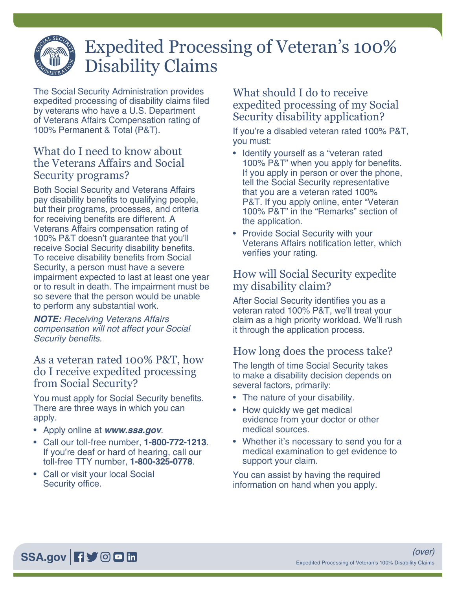# Expedited Processing of Veteran's 100% Disability Claims

The Social Security Administration provides expedited processing of disability claims filed by veterans who have a U.S. Department of Veterans Affairs Compensation rating of 100% Permanent & Total (P&T).

#### What do I need to know about the Veterans Affairs and Social Security programs?

Both Social Security and Veterans Affairs pay disability benefits to qualifying people, but their programs, processes, and criteria for receiving benefits are different. A Veterans Affairs compensation rating of 100% P&T doesn't guarantee that you'll receive Social Security disability benefits. To receive disability benefits from Social Security, a person must have a severe impairment expected to last at least one year or to result in death. The impairment must be so severe that the person would be unable to perform any substantial work.

*NOTE: Receiving Veterans Affairs compensation will not affect your Social*  Security benefits.

#### As a veteran rated 100% P&T, how do I receive expedited processing from Social Security?

You must apply for Social Security benefits. There are three ways in which you can apply.

- Apply online at *[www.ssa.gov](https://www.ssa.gov)*.
- Call our toll-free number, **1-800-772-1213**. If you're deaf or hard of hearing, call our toll-free TTY number, **1-800-325-0778**.
- Call or visit your local Social Security office.

#### What should I do to receive expedited processing of my Social Security disability application?

If you're a disabled veteran rated 100% P&T, you must:

- Identify yourself as a "veteran rated 100% P&T" when you apply for benefits. If you apply in person or over the phone, tell the Social Security representative that you are a veteran rated 100% P&T. If you apply online, enter "Veteran 100% P&T" in the "Remarks" section of the application.
- Provide Social Security with your Veterans Affairs notification letter, which verifies your rating.

#### How will Social Security expedite my disability claim?

After Social Security identifies you as a veteran rated 100% P&T, we'll treat your claim as a high priority workload. We'll rush it through the application process.

## How long does the process take?

The length of time Social Security takes to make a disability decision depends on several factors, primarily:

- The nature of your disability.
- How quickly we get medical evidence from your doctor or other medical sources.
- Whether it's necessary to send you for a medical examination to get evidence to support your claim.

You can assist by having the required information on hand when you apply.